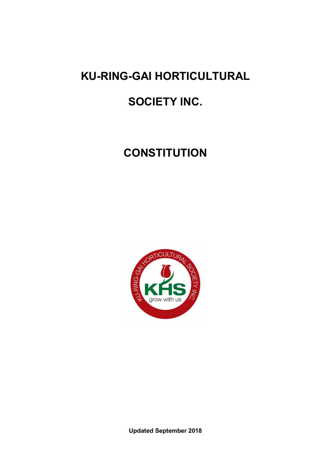# **KU-RING-GAI HORTICULTURAL**

# **SOCIETY INC.**

# **CONSTITUTION**



**Updated September 2018**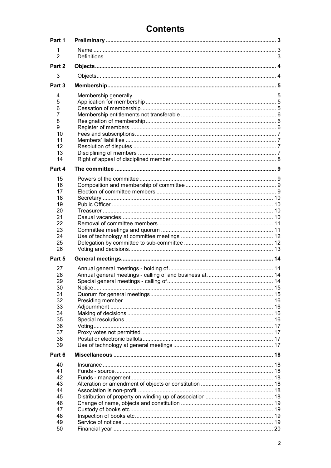# **Contents**

| Part 1              |  |
|---------------------|--|
| 1<br>$\overline{2}$ |  |
| Part 2              |  |
| 3                   |  |
| Part 3              |  |
| 4                   |  |
| 5                   |  |
| 6                   |  |
| 7                   |  |
| 8                   |  |
| 9<br>10             |  |
| 11                  |  |
| 12                  |  |
| 13                  |  |
| 14                  |  |
| Part 4              |  |
| 15                  |  |
| 16                  |  |
| 17                  |  |
| 18                  |  |
| 19                  |  |
| 20<br>21            |  |
| 22                  |  |
| 23                  |  |
| 24                  |  |
|                     |  |
| 25                  |  |
| 26                  |  |
| Part 5              |  |
| 27                  |  |
| 28                  |  |
| 29                  |  |
| 30                  |  |
| 31                  |  |
| 32                  |  |
| 33<br>34            |  |
| 35                  |  |
| 36                  |  |
| 37                  |  |
| 38                  |  |
| 39                  |  |
| Part 6              |  |
| 40                  |  |
| 41<br>42            |  |
| 43                  |  |
| 44                  |  |
| 45                  |  |
| 46                  |  |
| 47                  |  |
| 48                  |  |
| 49<br>50            |  |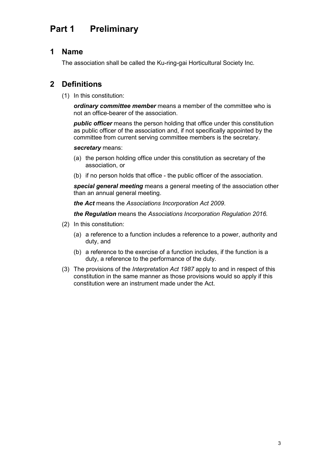#### Preliminary Part 1

#### 1 **Name**

The association shall be called the Ku-ring-gai Horticultural Society Inc.

#### $2<sup>7</sup>$ **Definitions**

(1) In this constitution:

ordinary committee member means a member of the committee who is not an office-bearer of the association.

**public officer** means the person holding that office under this constitution as public officer of the association and, if not specifically appointed by the committee from current serving committee members is the secretary.

### secretary means:

- (a) the person holding office under this constitution as secretary of the association, or
- (b) if no person holds that office the public officer of the association.

special general meeting means a general meeting of the association other than an annual general meeting.

the Act means the Associations Incorporation Act 2009.

the Regulation means the Associations Incorporation Regulation 2016.

- (2) In this constitution:
	- (a) a reference to a function includes a reference to a power, authority and duty, and
	- (b) a reference to the exercise of a function includes, if the function is a duty, a reference to the performance of the duty.
- (3) The provisions of the Interpretation Act 1987 apply to and in respect of this constitution in the same manner as those provisions would so apply if this constitution were an instrument made under the Act.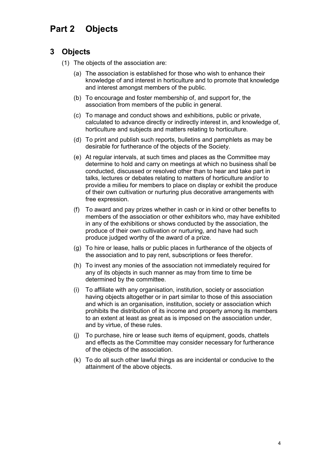#### Part 2 **Objects**

# 3 Objects

- (1) The objects of the association are:
	- (a) The association is established for those who wish to enhance their knowledge of and interest in horticulture and to promote that knowledge and interest amongst members of the public.
	- (b) To encourage and foster membership of, and support for, the association from members of the public in general.
	- (c) To manage and conduct shows and exhibitions, public or private. calculated to advance directly or indirectly interest in, and knowledge of, horticulture and subjects and matters relating to horticulture.
	- (d) To print and publish such reports, bulletins and pamphlets as may be desirable for furtherance of the objects of the Society.
	- (e) At regular intervals, at such times and places as the Committee may determine to hold and carry on meetings at which no business shall be conducted, discussed or resolved other than to hear and take part in talks, lectures or debates relating to matters of horticulture and/or to provide a milieu for members to place on display or exhibit the produce of their own cultivation or nurturing plus decorative arrangements with free expression.
	- (f) To award and pay prizes whether in cash or in kind or other benefits to members of the association or other exhibitors who, may have exhibited in any of the exhibitions or shows conducted by the association, the produce of their own cultivation or nurturing, and have had such produce judged worthy of the award of a prize.
	- (q) To hire or lease, halls or public places in furtherance of the objects of the association and to pay rent, subscriptions or fees therefor.
	- (h) To invest any monies of the association not immediately required for any of its objects in such manner as may from time to time be determined by the committee.
	- (i) To affiliate with any organisation, institution, society or association having objects altogether or in part similar to those of this association and which is an organisation, institution, society or association which prohibits the distribution of its income and property among its members to an extent at least as great as is imposed on the association under, and by virtue, of these rules.
	- (i) To purchase, hire or lease such items of equipment, goods, chattels and effects as the Committee may consider necessary for furtherance of the objects of the association.
	- (k) To do all such other lawful things as are incidental or conducive to the attainment of the above objects.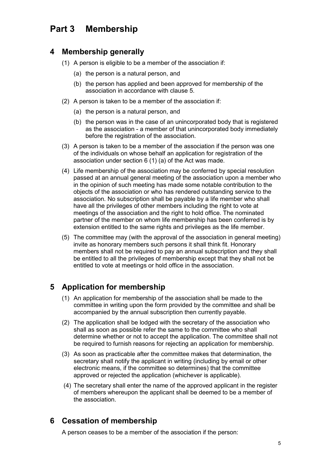# Part 3 Membership

## 4 Membership generally

- (1) A person is eligible to be a member of the association if:
	- (a) the person is a natural person, and
	- (b) the person has applied and been approved for membership of the association in accordance with clause 5
- (2) A person is taken to be a member of the association if:
	- (a) the person is a natural person, and
	- (b) the person was in the case of an unincorporated body that is registered as the association - a member of that unincorporated body immediately before the registration of the association.
- (3) A person is taken to be a member of the association if the person was one of the individuals on whose behalf an application for registration of the association under section 6 (1) (a) of the Act was made.
- (4) Life membership of the association may be conferred by special resolution passed at an annual general meeting of the association upon a member who in the opinion of such meeting has made some notable contribution to the objects of the association or who has rendered outstanding service to the association. No subscription shall be payable by a life member who shall have all the privileges of other members including the right to vote at meetings of the association and the right to hold office. The nominated partner of the member on whom life membership has been conferred is by extension entitled to the same rights and privileges as the life member.
- (5) The committee may (with the approval of the association in general meeting) invite as honorary members such persons it shall think fit. Honorary members shall not be required to pay an annual subscription and they shall be entitled to all the privileges of membership except that they shall not be entitled to vote at meetings or hold office in the association.

# 5 Application for membership

- (1) An application for membership of the association shall be made to the committee in writing upon the form provided by the committee and shall be accompanied by the annual subscription then currently payable.
- (2) The application shall be lodged with the secretary of the association who shall as soon as possible refer the same to the committee who shall determine whether or not to accept the application. The committee shall not be required to furnish reasons for rejecting an application for membership.
- (3) As soon as practicable after the committee makes that determination, the secretary shall notify the applicant in writing (including by email or other electronic means, if the committee so determines) that the committee approved or rejected the application (whichever is applicable).
- (4) The secretary shall enter the name of the approved applicant in the register of members whereupon the applicant shall be deemed to be a member of the association

# **6** Cessation of membership

A person ceases to be a member of the association if the person: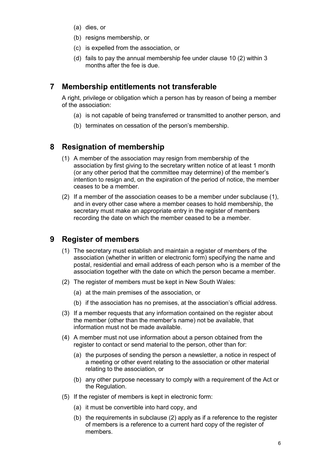- (a) dies, or
- (b) resigns membership, or
- (c) is expelled from the association, or
- (d) fails to pay the annual membership fee under clause 10 (2) within 3 months after the fee is due

# 7 Membership entitlements not transferable

A right, privilege or obligation which a person has by reason of being a member of the association:

- (a) is not capable of being transferred or transmitted to another person, and
- (b) terminates on cessation of the person's membership.

# 8 Resignation of membership

- (1) A member of the association may resign from membership of the association by first giving to the secretary written notice of at least 1 month (or any other period that the committee may determine) of the member's intention to resign and, on the expiration of the period of notice, the member ceases to be a member.
- (2) If a member of the association ceases to be a member under subclause (1), and in every other case where a member ceases to hold membership, the secretary must make an appropriate entry in the register of members recording the date on which the member ceased to be a member.

# 9 Register of members

- (1) The secretary must establish and maintain a register of members of the association (whether in written or electronic form) specifying the name and postal, residential and email address of each person who is a member of the association together with the date on which the person became a member.
- (2) The register of members must be kept in New South Wales:
	- (a) at the main premises of the association, or
	- (b) if the association has no premises, at the association's official address.
- (3) If a member requests that any information contained on the register about the member (other than the member's name) not be available, that information must not be made available.
- (4) A member must not use information about a person obtained from the register to contact or send material to the person, other than for:
	- (a) the purposes of sending the person a newsletter, a notice in respect of a meeting or other event relating to the association or other material relating to the association, or
	- (b) any other purpose necessary to comply with a requirement of the Act or the Regulation.
- (5) If the register of members is kept in electronic form:
	- (a) it must be convertible into hard copy, and
	- (b) the requirements in subclause (2) apply as if a reference to the register of members is a reference to a current hard copy of the register of members.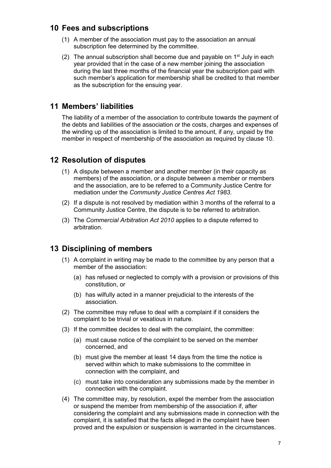# 10 Fees and subscriptions

- (1) A member of the association must pay to the association an annual subscription fee determined by the committee.
- (2) The annual subscription shall become due and payable on  $1<sup>st</sup>$  July in each year provided that in the case of a new member joining the association during the last three months of the financial year the subscription paid with such member's application for membership shall be credited to that member as the subscription for the ensuing year.

# 11 Members' liabilities

The liability of a member of the association to contribute towards the payment of the debts and liabilities of the association or the costs, charges and expenses of the winding up of the association is limited to the amount, if any, unpaid by the member in respect of membership of the association as required by clause 10.

# **12 Resolution of disputes**

- (1) A dispute between a member and another member (in their capacity as members) of the association, or a dispute between a member or members and the association, are to be referred to a Community Justice Centre for mediation under the Community Justice Centres Act 1983.
- (2) If a dispute is not resolved by mediation within 3 months of the referral to a Community Justice Centre, the dispute is to be referred to arbitration.
- (3) The Commercial Arbitration Act 2010 applies to a dispute referred to arbitration.

# 13 Disciplining of members

- (1) A complaint in writing may be made to the committee by any person that a member of the association:
	- (a) has refused or neglected to comply with a provision or provisions of this constitution, or
	- (b) has wilfully acted in a manner prejudicial to the interests of the association.
- (2) The committee may refuse to deal with a complaint if it considers the complaint to be trivial or vexatious in nature.
- (3) If the committee decides to deal with the complaint, the committee:
	- (a) must cause notice of the complaint to be served on the member concerned, and
	- (b) must give the member at least 14 days from the time the notice is served within which to make submissions to the committee in connection with the complaint, and
	- (c) must take into consideration any submissions made by the member in connection with the complaint.
- (4) The committee may, by resolution, expel the member from the association or suspend the member from membership of the association if, after considering the complaint and any submissions made in connection with the complaint, it is satisfied that the facts alleged in the complaint have been proved and the expulsion or suspension is warranted in the circumstances.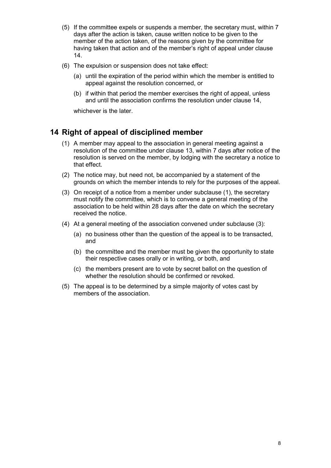- (5) If the committee expels or suspends a member, the secretary must, within 7 days after the action is taken, cause written notice to be given to the member of the action taken, of the reasons given by the committee for having taken that action and of the member's right of appeal under clause  $14.$
- (6) The expulsion or suspension does not take effect:
	- (a) until the expiration of the period within which the member is entitled to appeal against the resolution concerned, or
	- (b) if within that period the member exercises the right of appeal, unless and until the association confirms the resolution under clause 14.

whichever is the later.

## 14 Right of appeal of disciplined member

- (1) A member may appeal to the association in general meeting against a resolution of the committee under clause 13, within 7 days after notice of the resolution is served on the member, by lodging with the secretary a notice to that effect.
- (2) The notice may, but need not, be accompanied by a statement of the grounds on which the member intends to rely for the purposes of the appeal.
- (3) On receipt of a notice from a member under subclause (1), the secretary must notify the committee, which is to convene a general meeting of the association to be held within 28 days after the date on which the secretary received the notice.
- (4) At a general meeting of the association convened under subclause (3):
	- (a) no business other than the question of the appeal is to be transacted, and
	- (b) the committee and the member must be given the opportunity to state their respective cases orally or in writing, or both, and
	- (c) the members present are to vote by secret ballot on the question of whether the resolution should be confirmed or revoked.
- (5) The appeal is to be determined by a simple majority of votes cast by members of the association.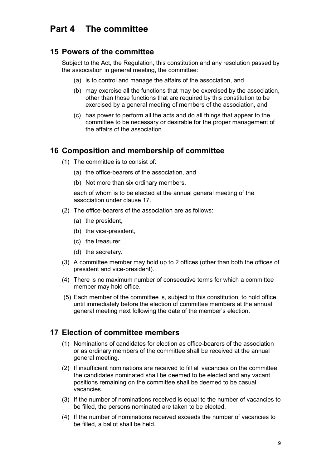# Part 4 The committee

## 15 Powers of the committee

Subject to the Act, the Regulation, this constitution and any resolution passed by the association in general meeting, the committee:

- (a) is to control and manage the affairs of the association, and
- (b) may exercise all the functions that may be exercised by the association, other than those functions that are required by this constitution to be exercised by a general meeting of members of the association, and
- (c) has power to perform all the acts and do all things that appear to the committee to be necessary or desirable for the proper management of the affairs of the association.

# 16 Composition and membership of committee

- (1) The committee is to consist of:
	- (a) the office-bearers of the association, and
	- (b) Not more than six ordinary members,

each of whom is to be elected at the annual general meeting of the association under clause 17

- (2) The office-bearers of the association are as follows:
	- (a) the president,
	- (b) the vice-president,
	- (c) the treasurer,
	- (d) the secretary.
- (3) A committee member may hold up to 2 offices (other than both the offices of president and vice-president).
- (4) There is no maximum number of consecutive terms for which a committee member may hold office.
- (5) Each member of the committee is, subject to this constitution, to hold office until immediately before the election of committee members at the annual general meeting next following the date of the member's election.

# 17 Flection of committee members

- (1) Nominations of candidates for election as office-bearers of the association or as ordinary members of the committee shall be received at the annual general meeting.
- (2) If insufficient nominations are received to fill all vacancies on the committee. the candidates nominated shall be deemed to be elected and any vacant positions remaining on the committee shall be deemed to be casual vacancies.
- (3) If the number of nominations received is equal to the number of vacancies to be filled, the persons nominated are taken to be elected.
- (4) If the number of nominations received exceeds the number of vacancies to be filled, a ballot shall be held.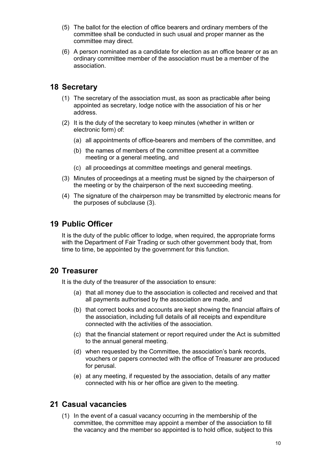- (5) The ballot for the election of office bearers and ordinary members of the committee shall be conducted in such usual and proper manner as the committee may direct.
- (6) A person nominated as a candidate for election as an office bearer or as an ordinary committee member of the association must be a member of the association

# **18 Secretary**

- (1) The secretary of the association must, as soon as practicable after being appointed as secretary, lodge notice with the association of his or her address.
- (2) It is the duty of the secretary to keep minutes (whether in written or electronic form) of:
	- (a) all appointments of office-bearers and members of the committee, and
	- (b) the names of members of the committee present at a committee meeting or a general meeting, and
	- (c) all proceedings at committee meetings and general meetings.
- (3) Minutes of proceedings at a meeting must be signed by the chairperson of the meeting or by the chairperson of the next succeeding meeting.
- (4) The signature of the chairperson may be transmitted by electronic means for the purposes of subclause (3).

# **19 Public Officer**

It is the duty of the public officer to lodge, when required, the appropriate forms with the Department of Fair Trading or such other government body that, from time to time, be appointed by the government for this function.

# 20 Treasurer

It is the duty of the treasurer of the association to ensure:

- (a) that all money due to the association is collected and received and that all payments authorised by the association are made, and
- (b) that correct books and accounts are kept showing the financial affairs of the association, including full details of all receipts and expenditure connected with the activities of the association.
- (c) that the financial statement or report required under the Act is submitted to the annual general meeting.
- (d) when requested by the Committee, the association's bank records, vouchers or papers connected with the office of Treasurer are produced for perusal.
- (e) at any meeting, if requested by the association, details of any matter connected with his or her office are given to the meeting.

# 21 Casual vacancies

(1) In the event of a casual vacancy occurring in the membership of the committee, the committee may appoint a member of the association to fill the vacancy and the member so appointed is to hold office, subject to this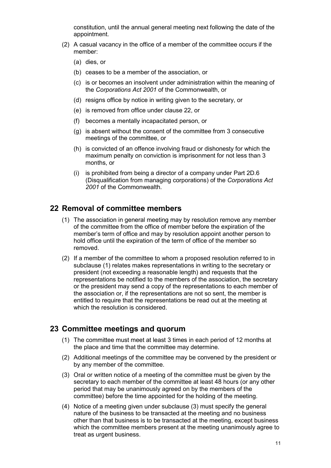constitution, until the annual general meeting next following the date of the appointment.

- (2) A casual vacancy in the office of a member of the committee occurs if the member:
	- $(a)$  dies, or
	- (b) ceases to be a member of the association, or
	- (c) is or becomes an insolvent under administration within the meaning of the Corporations Act 2001 of the Commonwealth, or
	- (d) resigns office by notice in writing given to the secretary, or
	- (e) is removed from office under clause 22, or
	- (f) becomes a mentally incapacitated person, or
	- (a) is absent without the consent of the committee from 3 consecutive meetings of the committee, or
	- (h) is convicted of an offence involving fraud or dishonesty for which the maximum penalty on conviction is imprisonment for not less than 3 months, or
	- $(i)$  is prohibited from being a director of a company under Part 2D.6 (Disqualification from managing corporations) of the Corporations Act 2001 of the Commonwealth

# 22 Removal of committee members

- (1) The association in general meeting may by resolution remove any member of the committee from the office of member before the expiration of the member's term of office and may by resolution appoint another person to hold office until the expiration of the term of office of the member so removed.
- (2) If a member of the committee to whom a proposed resolution referred to in subclause (1) relates makes representations in writing to the secretary or president (not exceeding a reasonable length) and requests that the representations be notified to the members of the association, the secretary or the president may send a copy of the representations to each member of the association or, if the representations are not so sent, the member is entitled to require that the representations be read out at the meeting at which the resolution is considered.

## 23 Committee meetings and quorum

- (1) The committee must meet at least 3 times in each period of 12 months at the place and time that the committee may determine.
- (2) Additional meetings of the committee may be convened by the president or by any member of the committee.
- (3) Oral or written notice of a meeting of the committee must be given by the secretary to each member of the committee at least 48 hours (or any other period that may be unanimously agreed on by the members of the committee) before the time appointed for the holding of the meeting.
- (4) Notice of a meeting given under subclause (3) must specify the general nature of the business to be transacted at the meeting and no business other than that business is to be transacted at the meeting, except business which the committee members present at the meeting unanimously agree to treat as urgent business.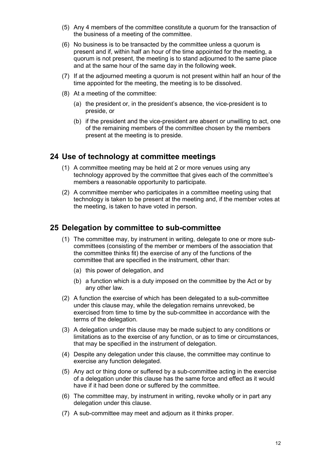- (5) Any 4 members of the committee constitute a quorum for the transaction of the business of a meeting of the committee.
- (6) No business is to be transacted by the committee unless a quorum is present and if, within half an hour of the time appointed for the meeting, a quorum is not present, the meeting is to stand adjourned to the same place and at the same hour of the same day in the following week.
- (7) If at the adjourned meeting a quorum is not present within half an hour of the time appointed for the meeting, the meeting is to be dissolved.
- (8) At a meeting of the committee:
	- (a) the president or, in the president's absence, the vice-president is to preside, or
	- (b) if the president and the vice-president are absent or unwilling to act, one of the remaining members of the committee chosen by the members present at the meeting is to preside.

# 24 Use of technology at committee meetings

- (1) A committee meeting may be held at 2 or more venues using any technology approved by the committee that gives each of the committee's members a reasonable opportunity to participate.
- (2) A committee member who participates in a committee meeting using that technology is taken to be present at the meeting and, if the member votes at the meeting, is taken to have voted in person.

### 25 Delegation by committee to sub-committee

- (1) The committee may, by instrument in writing, delegate to one or more subcommittees (consisting of the member or members of the association that the committee thinks fit) the exercise of any of the functions of the committee that are specified in the instrument, other than:
	- (a) this power of delegation, and
	- (b) a function which is a duty imposed on the committee by the Act or by any other law.
- (2) A function the exercise of which has been delegated to a sub-committee under this clause may, while the delegation remains unrevoked, be exercised from time to time by the sub-committee in accordance with the terms of the delegation.
- (3) A delegation under this clause may be made subject to any conditions or limitations as to the exercise of any function, or as to time or circumstances, that may be specified in the instrument of delegation.
- (4) Despite any delegation under this clause, the committee may continue to exercise any function delegated.
- (5) Any act or thing done or suffered by a sub-committee acting in the exercise of a delegation under this clause has the same force and effect as it would have if it had been done or suffered by the committee.
- (6) The committee may, by instrument in writing, revoke wholly or in part any delegation under this clause.
- (7) A sub-committee may meet and adjourn as it thinks proper.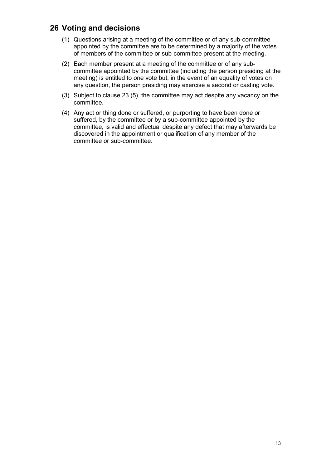# 26 Voting and decisions

- (1) Questions arising at a meeting of the committee or of any sub-committee appointed by the committee are to be determined by a majority of the votes of members of the committee or sub-committee present at the meeting.
- (2) Each member present at a meeting of the committee or of any subcommittee appointed by the committee (including the person presiding at the meeting) is entitled to one vote but, in the event of an equality of votes on any question, the person presiding may exercise a second or casting vote.
- (3) Subject to clause 23 (5), the committee may act despite any vacancy on the committee.
- (4) Any act or thing done or suffered, or purporting to have been done or suffered, by the committee or by a sub-committee appointed by the committee, is valid and effectual despite any defect that may afterwards be discovered in the appointment or qualification of any member of the committee or sub-committee.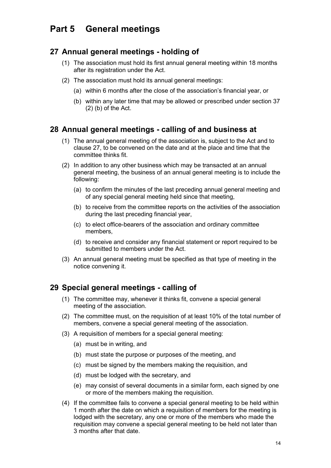#### **General meetings** Part 5

# 27 Annual general meetings - holding of

- (1) The association must hold its first annual general meeting within 18 months after its registration under the Act.
- (2) The association must hold its annual general meetings:
	- (a) within 6 months after the close of the association's financial year, or
	- (b) within any later time that may be allowed or prescribed under section 37  $(2)$  (b) of the Act.

# 28 Annual general meetings - calling of and business at

- (1) The annual general meeting of the association is, subject to the Act and to clause 27, to be convened on the date and at the place and time that the committee thinks fit.
- (2) In addition to any other business which may be transacted at an annual general meeting, the business of an annual general meeting is to include the following:
	- (a) to confirm the minutes of the last preceding annual general meeting and of any special general meeting held since that meeting.
	- (b) to receive from the committee reports on the activities of the association during the last preceding financial year,
	- (c) to elect office-bearers of the association and ordinary committee members,
	- (d) to receive and consider any financial statement or report required to be submitted to members under the Act.
- (3) An annual general meeting must be specified as that type of meeting in the notice convening it.

# 29 Special general meetings - calling of

- (1) The committee may, whenever it thinks fit, convene a special general meeting of the association.
- (2) The committee must, on the requisition of at least 10% of the total number of members, convene a special general meeting of the association.
- (3) A requisition of members for a special general meeting:
	- (a) must be in writing, and
	- (b) must state the purpose or purposes of the meeting, and
	- (c) must be signed by the members making the requisition, and
	- (d) must be lodged with the secretary, and
	- (e) may consist of several documents in a similar form, each signed by one or more of the members making the requisition.
- (4) If the committee fails to convene a special general meeting to be held within 1 month after the date on which a requisition of members for the meeting is lodged with the secretary, any one or more of the members who made the requisition may convene a special general meeting to be held not later than 3 months after that date.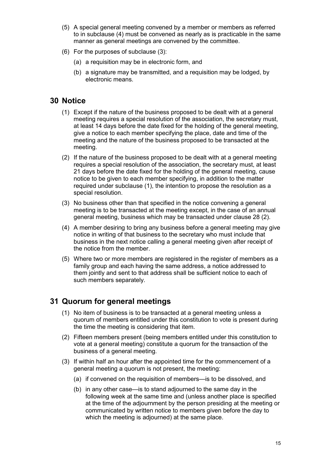- (5) A special general meeting convened by a member or members as referred to in subclause (4) must be convened as nearly as is practicable in the same manner as general meetings are convened by the committee.
- $(6)$  For the purposes of subclause  $(3)$ :
	- (a) a requisition may be in electronic form, and
	- (b) a signature may be transmitted, and a requisition may be lodged, by electronic means.

# 30 Notice

- (1) Except if the nature of the business proposed to be dealt with at a general meeting requires a special resolution of the association, the secretary must, at least 14 days before the date fixed for the holding of the general meeting. give a notice to each member specifying the place, date and time of the meeting and the nature of the business proposed to be transacted at the meeting.
- (2) If the nature of the business proposed to be dealt with at a general meeting requires a special resolution of the association, the secretary must, at least 21 days before the date fixed for the holding of the general meeting, cause notice to be given to each member specifying, in addition to the matter required under subclause (1), the intention to propose the resolution as a special resolution.
- (3) No business other than that specified in the notice convening a general meeting is to be transacted at the meeting except, in the case of an annual general meeting, business which may be transacted under clause 28 (2).
- (4) A member desiring to bring any business before a general meeting may give notice in writing of that business to the secretary who must include that business in the next notice calling a general meeting given after receipt of the notice from the member.
- (5) Where two or more members are registered in the register of members as a family group and each having the same address, a notice addressed to them jointly and sent to that address shall be sufficient notice to each of such members separately.

# 31 Quorum for general meetings

- (1) No item of business is to be transacted at a general meeting unless a quorum of members entitled under this constitution to vote is present during the time the meeting is considering that item.
- (2) Fifteen members present (being members entitled under this constitution to vote at a general meeting) constitute a guorum for the transaction of the business of a general meeting.
- (3) If within half an hour after the appointed time for the commencement of a general meeting a quorum is not present, the meeting:
	- (a) if convened on the requisition of members—is to be dissolved, and
	- (b) in any other case—is to stand adjourned to the same day in the following week at the same time and (unless another place is specified at the time of the adjournment by the person presiding at the meeting or communicated by written notice to members given before the day to which the meeting is adjourned) at the same place.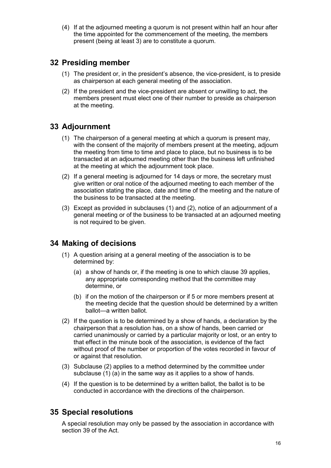(4) If at the adjourned meeting a quorum is not present within half an hour after the time appointed for the commencement of the meeting, the members present (being at least 3) are to constitute a quorum.

# 32 Presiding member

- (1) The president or, in the president's absence, the vice-president, is to preside as chairperson at each general meeting of the association.
- (2) If the president and the vice-president are absent or unwilling to act, the members present must elect one of their number to preside as chairperson at the meeting.

# 33 Adjournment

- (1) The chairperson of a general meeting at which a guorum is present may, with the consent of the majority of members present at the meeting, adjourn the meeting from time to time and place to place, but no business is to be transacted at an adjourned meeting other than the business left unfinished at the meeting at which the adjournment took place.
- (2) If a general meeting is adjourned for 14 days or more, the secretary must give written or oral notice of the adjourned meeting to each member of the association stating the place, date and time of the meeting and the nature of the business to be transacted at the meeting.
- (3) Except as provided in subclauses (1) and (2), notice of an adjournment of a general meeting or of the business to be transacted at an adjourned meeting is not required to be given.

# **34 Making of decisions**

- (1) A question arising at a general meeting of the association is to be determined by:
	- (a) a show of hands or, if the meeting is one to which clause 39 applies, any appropriate corresponding method that the committee may determine, or
	- (b) if on the motion of the chairperson or if 5 or more members present at the meeting decide that the question should be determined by a written ballot-a written ballot.
- (2) If the question is to be determined by a show of hands, a declaration by the chairperson that a resolution has, on a show of hands, been carried or carried unanimously or carried by a particular majority or lost, or an entry to that effect in the minute book of the association, is evidence of the fact without proof of the number or proportion of the votes recorded in favour of or against that resolution.
- (3) Subclause (2) applies to a method determined by the committee under subclause  $(1)$  (a) in the same way as it applies to a show of hands.
- (4) If the question is to be determined by a written ballot, the ballot is to be conducted in accordance with the directions of the chairperson.

# **35 Special resolutions**

A special resolution may only be passed by the association in accordance with section 39 of the Act.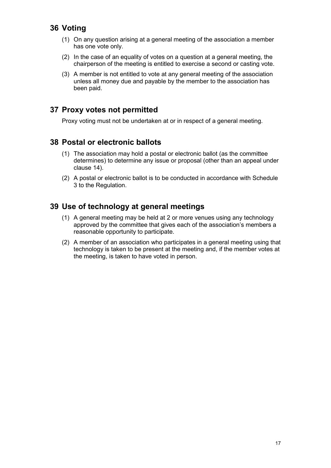# 36 Voting

- (1) On any question arising at a general meeting of the association a member has one vote only.
- (2) In the case of an equality of votes on a question at a general meeting, the chairperson of the meeting is entitled to exercise a second or casting vote.
- (3) A member is not entitled to vote at any general meeting of the association unless all money due and payable by the member to the association has been paid.

# 37 Proxy votes not permitted

Proxy voting must not be undertaken at or in respect of a general meeting.

# 38 Postal or electronic ballots

- (1) The association may hold a postal or electronic ballot (as the committee determines) to determine any issue or proposal (other than an appeal under clause 14).
- (2) A postal or electronic ballot is to be conducted in accordance with Schedule 3 to the Regulation.

# 39 Use of technology at general meetings

- (1) A general meeting may be held at 2 or more venues using any technology approved by the committee that gives each of the association's members a reasonable opportunity to participate.
- (2) A member of an association who participates in a general meeting using that technology is taken to be present at the meeting and, if the member votes at the meeting, is taken to have voted in person.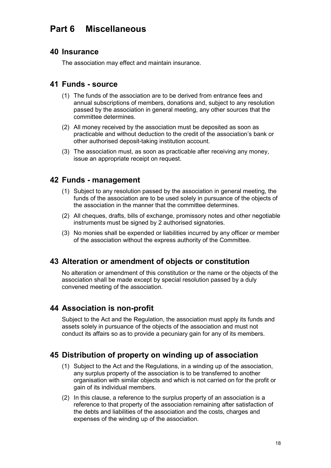# Part 6 Miscellaneous

## **40 Insurance**

The association may effect and maintain insurance.

# 41 Funds - source

- (1) The funds of the association are to be derived from entrance fees and annual subscriptions of members, donations and, subject to any resolution passed by the association in general meeting, any other sources that the committee determines.
- (2) All money received by the association must be deposited as soon as practicable and without deduction to the credit of the association's bank or other authorised deposit-taking institution account.
- (3) The association must, as soon as practicable after receiving any money, issue an appropriate receipt on request.

# 42 Funds - management

- (1) Subject to any resolution passed by the association in general meeting, the funds of the association are to be used solely in pursuance of the objects of the association in the manner that the committee determines.
- (2) All cheques, drafts, bills of exchange, promissory notes and other negotiable instruments must be signed by 2 authorised signatories.
- (3) No monies shall be expended or liabilities incurred by any officer or member of the association without the express authority of the Committee.

# 43 Alteration or amendment of objects or constitution

No alteration or amendment of this constitution or the name or the objects of the association shall be made except by special resolution passed by a duly convened meeting of the association.

# 44 Association is non-profit

Subject to the Act and the Regulation, the association must apply its funds and assets solely in pursuance of the objects of the association and must not conduct its affairs so as to provide a pecuniary gain for any of its members.

# 45 Distribution of property on winding up of association

- (1) Subject to the Act and the Regulations, in a winding up of the association, any surplus property of the association is to be transferred to another organisation with similar objects and which is not carried on for the profit or gain of its individual members.
- (2) In this clause, a reference to the surplus property of an association is a reference to that property of the association remaining after satisfaction of the debts and liabilities of the association and the costs, charges and expenses of the winding up of the association.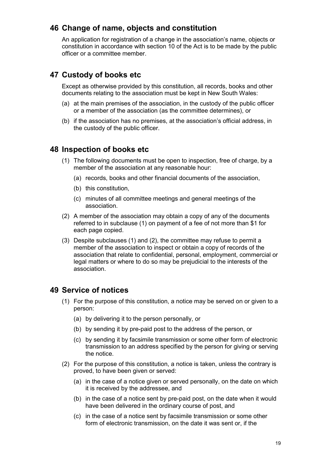# 46 Change of name, objects and constitution

An application for registration of a change in the association's name, objects or constitution in accordance with section 10 of the Act is to be made by the public officer or a committee member.

# 47 Custody of books etc

Except as otherwise provided by this constitution, all records, books and other documents relating to the association must be kept in New South Wales:

- (a) at the main premises of the association, in the custody of the public officer or a member of the association (as the committee determines), or
- (b) if the association has no premises, at the association's official address, in the custody of the public officer.

## 48 Inspection of books etc

- (1) The following documents must be open to inspection, free of charge, by a member of the association at any reasonable hour:
	- (a) records, books and other financial documents of the association.
	- (b) this constitution.
	- (c) minutes of all committee meetings and general meetings of the association.
- (2) A member of the association may obtain a copy of any of the documents referred to in subclause (1) on payment of a fee of not more than \$1 for each page copied.
- (3) Despite subclauses (1) and (2), the committee may refuse to permit a member of the association to inspect or obtain a copy of records of the association that relate to confidential, personal, employment, commercial or legal matters or where to do so may be prejudicial to the interests of the association.

# 49 Service of notices

- (1) For the purpose of this constitution, a notice may be served on or given to a person:
	- (a) by delivering it to the person personally, or
	- (b) by sending it by pre-paid post to the address of the person, or
	- (c) by sending it by facsimile transmission or some other form of electronic transmission to an address specified by the person for giving or serving the notice.
- (2) For the purpose of this constitution, a notice is taken, unless the contrary is proved, to have been given or served:
	- (a) in the case of a notice given or served personally, on the date on which it is received by the addressee, and
	- (b) in the case of a notice sent by pre-paid post, on the date when it would have been delivered in the ordinary course of post, and
	- (c) in the case of a notice sent by facsimile transmission or some other form of electronic transmission, on the date it was sent or, if the